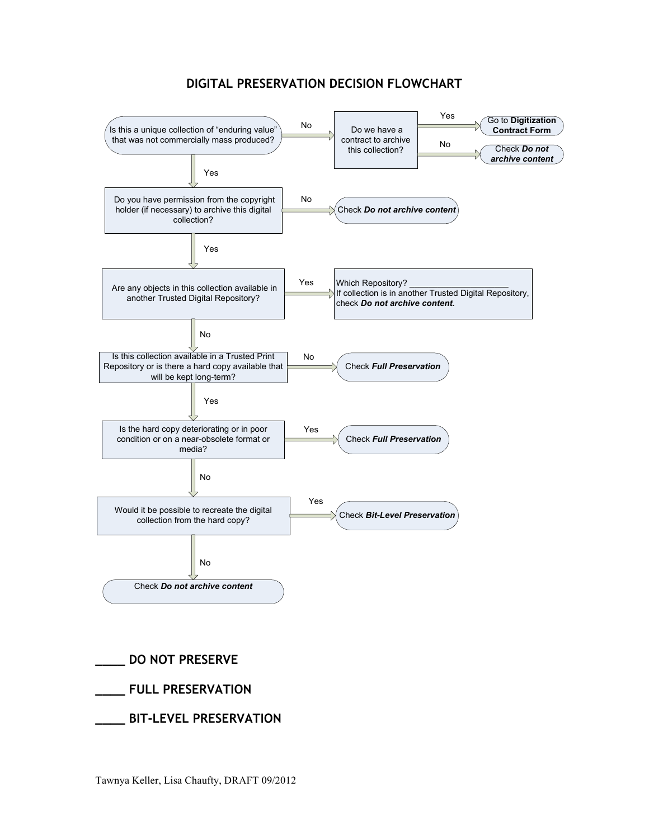## **DIGITAL PRESERVATION DECISION FLOWCHART**



**\_\_\_\_ DO NOT PRESERVE \_\_\_\_ FULL PRESERVATION \_\_\_\_ BIT-LEVEL PRESERVATION**